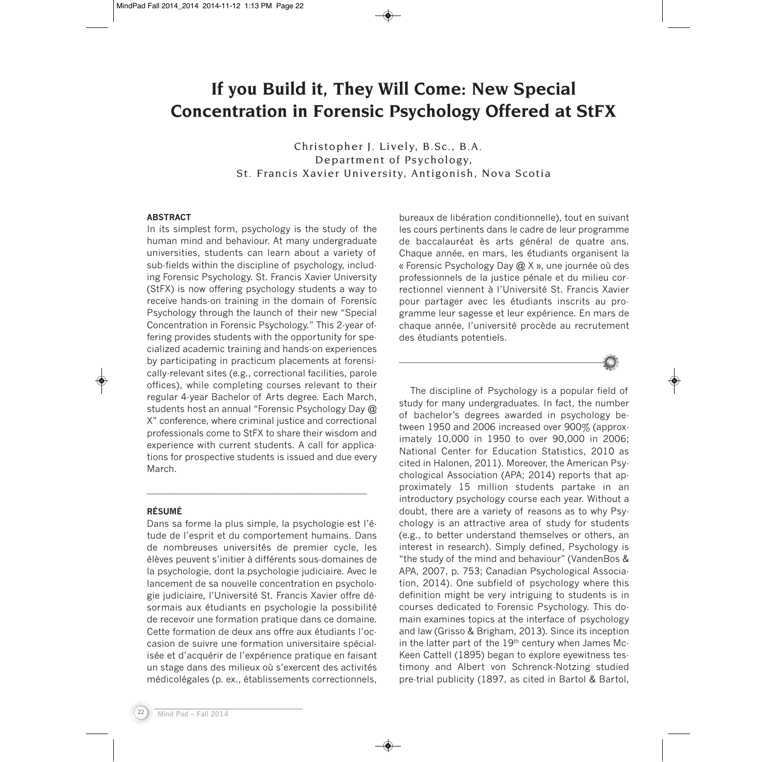## **If you Build it, They Will Come: New Special Concentration in Forensic Psychology Offered at StFX**

Christopher J. Lively, B.Sc., B.A. Department of Psychology, St. Francis Xavier University, Antigonish, Nova Scotia

## **ABSTRACT**

In its simplest form, psychology is the study of the human mind and behaviour. At many undergraduate universities, students can learn about a variety of sub-fields within the discipline of psychology, including Forensic Psychology. St. Francis Xavier University (StFX) is now offering psychology students a way to receive hands-on training in the domain of Forensic Psychology through the launch of their new "Special Concentration in Forensic Psychology." This 2-year offering provides students with the opportunity for specialized academic training and hands-on experiences by participating in practicum placements at forensically-relevant sites (e.g., correctional facilities, parole offices), while completing courses relevant to their regular 4-year Bachelor of Arts degree. Each March, students host an annual "Forensic Psychology Day @ X" conference, where criminal justice and correctional professionals come to StFX to share their wisdom and experience with current students. A call for applications for prospective students is issued and due every March.

## **RÉSUMÉ**

Dans sa forme la plus simple, la psychologie est l'étude de l'esprit et du comportement humains. Dans de nombreuses universités de premier cycle, les élèves peuvent s'initier à différents sous-domaines de la psychologie, dont la psychologie judiciaire. Avec le lancement de sa nouvelle concentration en psychologie judiciaire, l'Université St. Francis Xavier offre désormais aux étudiants en psychologie la possibilité de recevoir une formation pratique dans ce domaine. Cette formation de deux ans offre aux étudiants l'occasion de suivre une formation universitaire spécialisée et d'acquérir de l'expérience pratique en faisant un stage dans des milieux où s'exercent des activités médicolégales (p. ex., établissements correctionnels,

\_\_\_\_\_\_\_\_\_\_\_\_\_\_\_\_\_\_\_\_\_\_\_\_\_\_\_\_\_\_\_\_\_\_\_\_\_\_\_\_\_\_\_\_\_\_\_\_\_\_\_\_\_\_

bureaux de libération conditionnelle), tout en suivant les cours pertinents dans le cadre de leur programme de baccalauréat ès arts général de quatre ans. Chaque année, en mars, les étudiants organisent la « Forensic Psychology Day @ X », une journée où des professionnels de la justice pénale et du milieu correctionnel viennent à l'Université St. Francis Xavier pour partager avec les étudiants inscrits au programme leur sagesse et leur expérience. En mars de chaque année, l'université procède au recrutement des étudiants potentiels.



The discipline of Psychology is a popular field of study for many undergraduates. In fact, the number of bachelor's degrees awarded in psychology between 1950 and 2006 increased over 900% (approximately 10,000 in 1950 to over 90,000 in 2006; National Center for Education Statistics, 2010 as cited in Halonen, 2011). Moreover, the American Psychological Association (APA; 2014) reports that approximately 15 million students partake in an introductory psychology course each year. Without a doubt, there are a variety of reasons as to why Psychology is an attractive area of study for students (e.g., to better understand themselves or others, an interest in research). Simply defined, Psychology is "the study of the mind and behaviour" (VandenBos & APA, 2007, p. 753; Canadian Psychological Association, 2014). One subfield of psychology where this definition might be very intriguing to students is in courses dedicated to Forensic Psychology. This domain examines topics at the interface of psychology and law (Grisso & Brigham, 2013). Since its inception in the latter part of the 19<sup>th</sup> century when James Mc-Keen Cattell (1895) began to explore eyewitness testimony and Albert von Schrenck-Notzing studied pre-trial publicity (1897, as cited in Bartol & Bartol,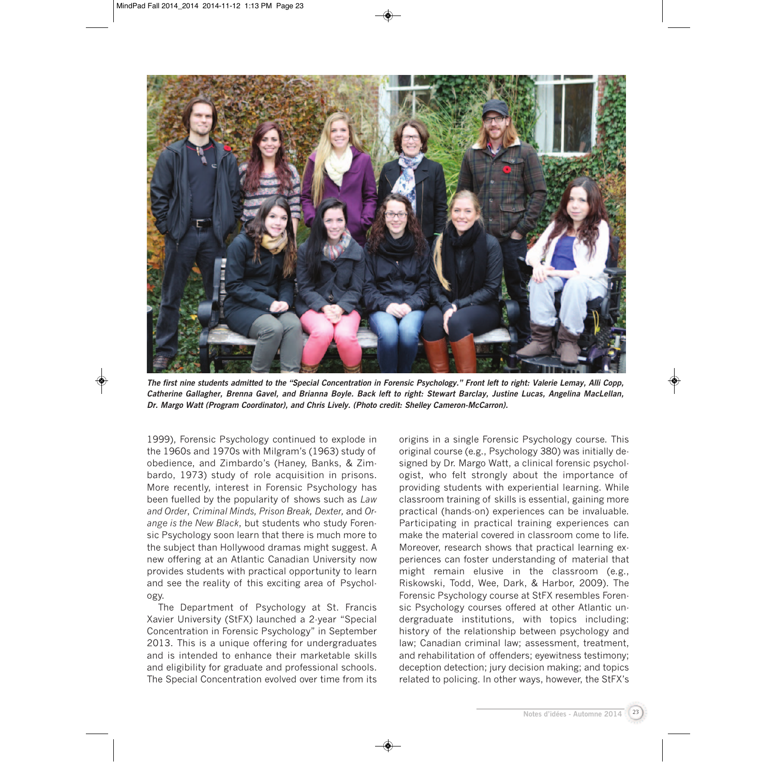

**The first nine students admitted to the "Special Concentration in Forensic Psychology." Front left to right: Valerie Lemay, Alli Copp, Catherine Gallagher, Brenna Gavel, and Brianna Boyle. Back left to right: Stewart Barclay, Justine Lucas, Angelina MacLellan, Dr. Margo Watt (Program Coordinator), and Chris Lively. (Photo credit: Shelley Cameron-McCarron).**

1999), Forensic Psychology continued to explode in the 1960s and 1970s with Milgram's (1963) study of obedience, and Zimbardo's (Haney, Banks, & Zimbardo, 1973) study of role acquisition in prisons. More recently, interest in Forensic Psychology has been fuelled by the popularity of shows such as *Law and Order*, *Criminal Minds, Prison Break, Dexter,* and *Orange is the New Black*, but students who study Forensic Psychology soon learn that there is much more to the subject than Hollywood dramas might suggest. A new offering at an Atlantic Canadian University now provides students with practical opportunity to learn and see the reality of this exciting area of Psychology.

The Department of Psychology at St. Francis Xavier University (StFX) launched a 2-year "Special Concentration in Forensic Psychology" in September 2013. This is a unique offering for undergraduates and is intended to enhance their marketable skills and eligibility for graduate and professional schools. The Special Concentration evolved over time from its origins in a single Forensic Psychology course. This original course (e.g., Psychology 380) was initially designed by Dr. Margo Watt, a clinical forensic psychologist, who felt strongly about the importance of providing students with experiential learning. While classroom training of skills is essential, gaining more practical (hands-on) experiences can be invaluable. Participating in practical training experiences can make the material covered in classroom come to life. Moreover, research shows that practical learning experiences can foster understanding of material that might remain elusive in the classroom (e.g., Riskowski, Todd, Wee, Dark, & Harbor, 2009). The Forensic Psychology course at StFX resembles Forensic Psychology courses offered at other Atlantic undergraduate institutions, with topics including: history of the relationship between psychology and law; Canadian criminal law; assessment, treatment, and rehabilitation of offenders; eyewitness testimony; deception detection; jury decision making; and topics related to policing. In other ways, however, the StFX's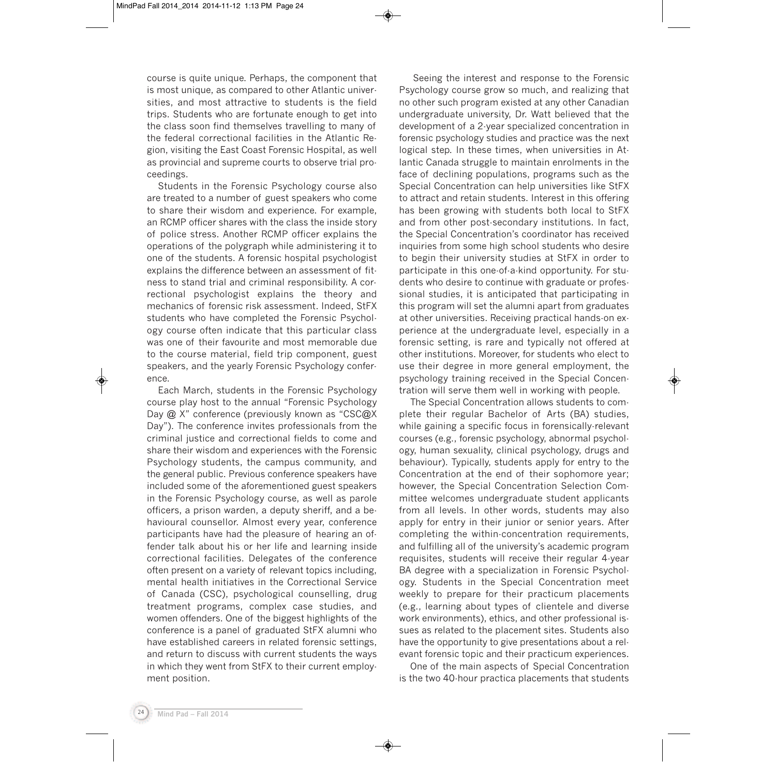course is quite unique. Perhaps, the component that is most unique, as compared to other Atlantic universities, and most attractive to students is the field trips. Students who are fortunate enough to get into the class soon find themselves travelling to many of the federal correctional facilities in the Atlantic Region, visiting the East Coast Forensic Hospital, as well as provincial and supreme courts to observe trial proceedings.

Students in the Forensic Psychology course also are treated to a number of guest speakers who come to share their wisdom and experience. For example, an RCMP officer shares with the class the inside story of police stress. Another RCMP officer explains the operations of the polygraph while administering it to one of the students. A forensic hospital psychologist explains the difference between an assessment of fitness to stand trial and criminal responsibility. A correctional psychologist explains the theory and mechanics of forensic risk assessment. Indeed, StFX students who have completed the Forensic Psychology course often indicate that this particular class was one of their favourite and most memorable due to the course material, field trip component, guest speakers, and the yearly Forensic Psychology conference.

Each March, students in the Forensic Psychology course play host to the annual "Forensic Psychology Day @ X" conference (previously known as "CSC@X Day"). The conference invites professionals from the criminal justice and correctional fields to come and share their wisdom and experiences with the Forensic Psychology students, the campus community, and the general public. Previous conference speakers have included some of the aforementioned guest speakers in the Forensic Psychology course, as well as parole officers, a prison warden, a deputy sheriff, and a behavioural counsellor. Almost every year, conference participants have had the pleasure of hearing an offender talk about his or her life and learning inside correctional facilities. Delegates of the conference often present on a variety of relevant topics including, mental health initiatives in the Correctional Service of Canada (CSC), psychological counselling, drug treatment programs, complex case studies, and women offenders. One of the biggest highlights of the conference is a panel of graduated StFX alumni who have established careers in related forensic settings, and return to discuss with current students the ways in which they went from StFX to their current employment position.

Seeing the interest and response to the Forensic Psychology course grow so much, and realizing that no other such program existed at any other Canadian undergraduate university, Dr. Watt believed that the development of a 2-year specialized concentration in forensic psychology studies and practice was the next logical step. In these times, when universities in Atlantic Canada struggle to maintain enrolments in the face of declining populations, programs such as the Special Concentration can help universities like StFX to attract and retain students. Interest in this offering has been growing with students both local to StFX and from other post-secondary institutions. In fact, the Special Concentration's coordinator has received inquiries from some high school students who desire to begin their university studies at StFX in order to participate in this one-of-a-kind opportunity. For students who desire to continue with graduate or professional studies, it is anticipated that participating in this program will set the alumni apart from graduates at other universities. Receiving practical hands-on experience at the undergraduate level, especially in a forensic setting, is rare and typically not offered at other institutions. Moreover, for students who elect to use their degree in more general employment, the psychology training received in the Special Concentration will serve them well in working with people.

The Special Concentration allows students to complete their regular Bachelor of Arts (BA) studies, while gaining a specific focus in forensically-relevant courses (e.g., forensic psychology, abnormal psychology, human sexuality, clinical psychology, drugs and behaviour). Typically, students apply for entry to the Concentration at the end of their sophomore year; however, the Special Concentration Selection Committee welcomes undergraduate student applicants from all levels. In other words, students may also apply for entry in their junior or senior years. After completing the within-concentration requirements, and fulfilling all of the university's academic program requisites, students will receive their regular 4-year BA degree with a specialization in Forensic Psychology. Students in the Special Concentration meet weekly to prepare for their practicum placements (e.g., learning about types of clientele and diverse work environments), ethics, and other professional issues as related to the placement sites. Students also have the opportunity to give presentations about a relevant forensic topic and their practicum experiences.

One of the main aspects of Special Concentration is the two 40-hour practica placements that students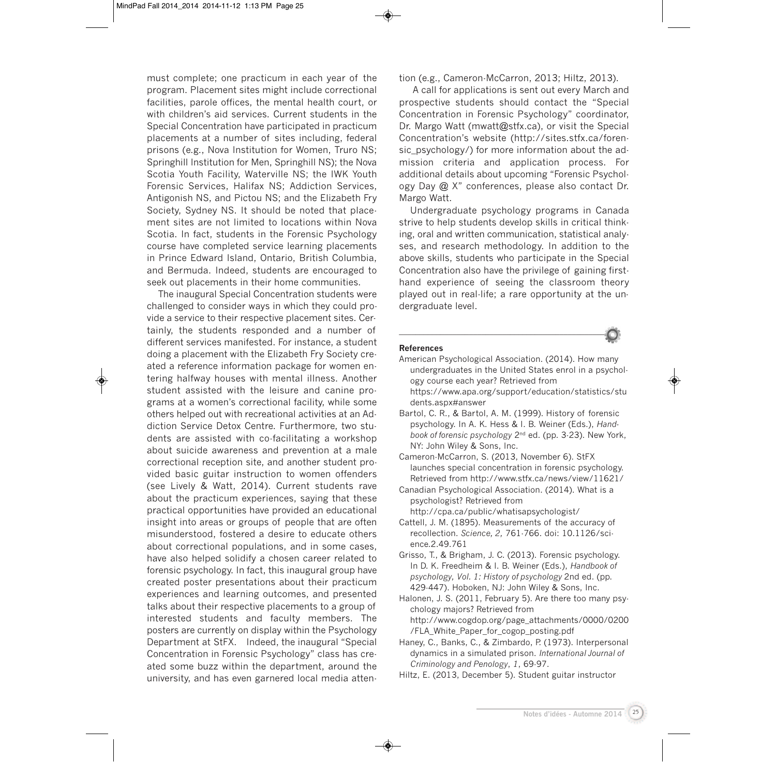must complete; one practicum in each year of the program. Placement sites might include correctional facilities, parole offices, the mental health court, or with children's aid services. Current students in the Special Concentration have participated in practicum placements at a number of sites including, federal prisons (e.g., Nova Institution for Women, Truro NS; Springhill Institution for Men, Springhill NS); the Nova Scotia Youth Facility, Waterville NS; the IWK Youth Forensic Services, Halifax NS; Addiction Services, Antigonish NS, and Pictou NS; and the Elizabeth Fry Society, Sydney NS. It should be noted that placement sites are not limited to locations within Nova Scotia. In fact, students in the Forensic Psychology course have completed service learning placements in Prince Edward Island, Ontario, British Columbia, and Bermuda. Indeed, students are encouraged to seek out placements in their home communities.

The inaugural Special Concentration students were challenged to consider ways in which they could provide a service to their respective placement sites. Certainly, the students responded and a number of different services manifested. For instance, a student doing a placement with the Elizabeth Fry Society created a reference information package for women entering halfway houses with mental illness. Another student assisted with the leisure and canine programs at a women's correctional facility, while some others helped out with recreational activities at an Addiction Service Detox Centre. Furthermore, two students are assisted with co-facilitating a workshop about suicide awareness and prevention at a male correctional reception site, and another student provided basic guitar instruction to women offenders (see Lively & Watt, 2014). Current students rave about the practicum experiences, saying that these practical opportunities have provided an educational insight into areas or groups of people that are often misunderstood, fostered a desire to educate others about correctional populations, and in some cases, have also helped solidify a chosen career related to forensic psychology. In fact, this inaugural group have created poster presentations about their practicum experiences and learning outcomes, and presented talks about their respective placements to a group of interested students and faculty members. The posters are currently on display within the Psychology Department at StFX. Indeed, the inaugural "Special Concentration in Forensic Psychology" class has created some buzz within the department, around the university, and has even garnered local media attention (e.g., Cameron-McCarron, 2013; Hiltz, 2013).

A call for applications is sent out every March and prospective students should contact the "Special Concentration in Forensic Psychology" coordinator, Dr. Margo Watt (mwatt@stfx.ca), or visit the Special Concentration's website (http://sites.stfx.ca/forensic\_psychology/) for more information about the admission criteria and application process. For additional details about upcoming "Forensic Psychology Day @ X" conferences, please also contact Dr. Margo Watt.

Undergraduate psychology programs in Canada strive to help students develop skills in critical thinking, oral and written communication, statistical analyses, and research methodology. In addition to the above skills, students who participate in the Special Concentration also have the privilege of gaining firsthand experience of seeing the classroom theory played out in real-life; a rare opportunity at the undergraduate level.

## **References**

American Psychological Association. (2014). How many undergraduates in the United States enrol in a psychology course each year? Retrieved from https://www.apa.org/support/education/statistics/stu dents.aspx#answer

\_\_\_\_\_\_\_\_\_\_\_\_\_\_\_\_\_\_\_\_\_\_\_\_\_\_\_\_\_\_\_\_\_\_\_\_\_\_\_\_\_\_\_\_\_\_\_\_\_\_

- Bartol, C. R., & Bartol, A. M. (1999). History of forensic psychology. In A. K. Hess & I. B. Weiner (Eds.), *Handbook of forensic psychology* 2nd ed. (pp. 3-23). New York, NY: John Wiley & Sons, Inc.
- Cameron-McCarron, S. (2013, November 6). StFX launches special concentration in forensic psychology. Retrieved from http://www.stfx.ca/news/view/11621/
- Canadian Psychological Association. (2014). What is a psychologist? Retrieved from http://cpa.ca/public/whatisapsychologist/
- Cattell, J. M. (1895). Measurements of the accuracy of recollection. *Science, 2,* 761-766. doi: 10.1126/science.2.49.761
- Grisso, T., & Brigham, J. C. (2013). Forensic psychology. In D. K. Freedheim & I. B. Weiner (Eds.), *Handbook of psychology, Vol. 1: History of psychology* 2nd ed. (pp. 429-447). Hoboken, NJ: John Wiley & Sons, Inc.
- Halonen, J. S. (2011, February 5). Are there too many psychology majors? Retrieved from http://www.cogdop.org/page\_attachments/0000/0200 /FLA\_White\_Paper\_for\_cogop\_posting.pdf
- Haney, C., Banks, C., & Zimbardo, P. (1973). Interpersonal dynamics in a simulated prison. *International Journal of Criminology and Penology*, *1*, 69-97.
- Hiltz, E. (2013, December 5). Student guitar instructor